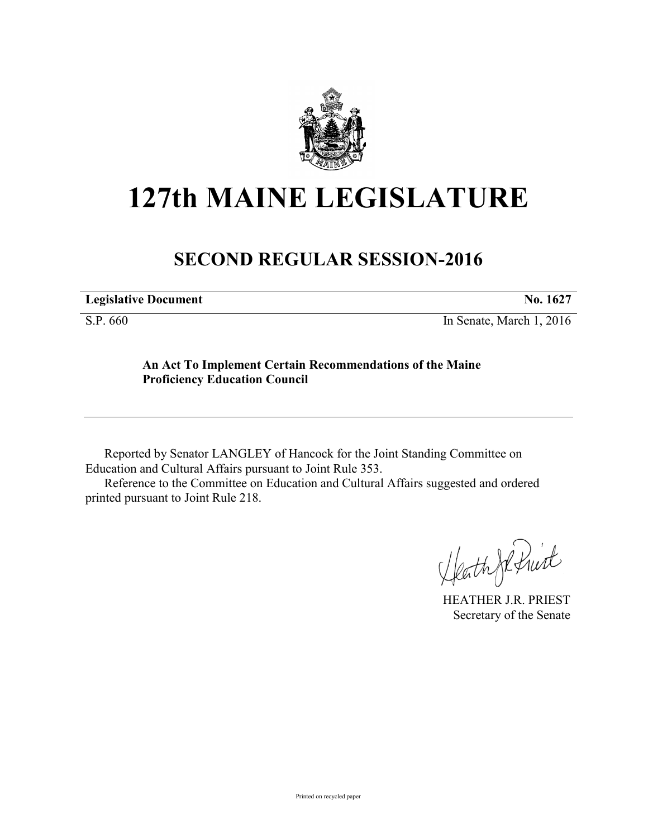

# **127th MAINE LEGISLATURE**

# **SECOND REGULAR SESSION-2016**

**Legislative Document No. 1627**

S.P. 660 In Senate, March 1, 2016

## **An Act To Implement Certain Recommendations of the Maine Proficiency Education Council**

Reported by Senator LANGLEY of Hancock for the Joint Standing Committee on Education and Cultural Affairs pursuant to Joint Rule 353.

Reference to the Committee on Education and Cultural Affairs suggested and ordered printed pursuant to Joint Rule 218.

HeathJeffrit

HEATHER J.R. PRIEST Secretary of the Senate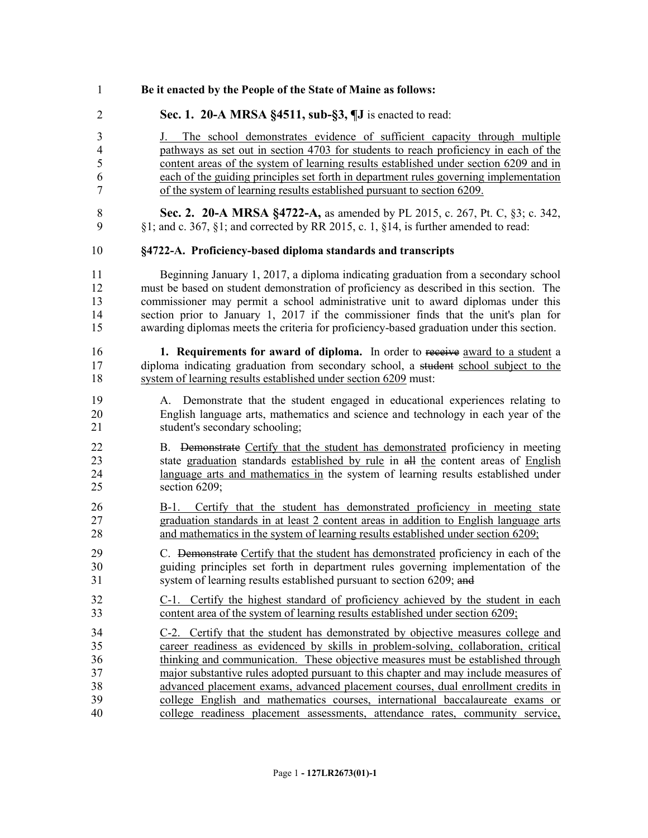- **Be it enacted by the People of the State of Maine as follows:**
- **Sec. 1. 20-A MRSA §4511, sub-§3, ¶J** is enacted to read:

 J. The school demonstrates evidence of sufficient capacity through multiple pathways as set out in section 4703 for students to reach proficiency in each of the content areas of the system of learning results established under section 6209 and in each of the guiding principles set forth in department rules governing implementation of the system of learning results established pursuant to section 6209.

 **Sec. 2. 20-A MRSA §4722-A,** as amended by PL 2015, c. 267, Pt. C, §3; c. 342, §1; and c. 367, §1; and corrected by RR 2015, c. 1, §14, is further amended to read:

#### **§4722-A. Proficiency-based diploma standards and transcripts**

 Beginning January 1, 2017, a diploma indicating graduation from a secondary school must be based on student demonstration of proficiency as described in this section. The commissioner may permit a school administrative unit to award diplomas under this section prior to January 1, 2017 if the commissioner finds that the unit's plan for awarding diplomas meets the criteria for proficiency-based graduation under this section.

 **1. Requirements for award of diploma.** In order to receive award to a student a 17 diploma indicating graduation from secondary school, a student school subject to the system of learning results established under section 6209 must:

- A. Demonstrate that the student engaged in educational experiences relating to English language arts, mathematics and science and technology in each year of the student's secondary schooling;
- B. Demonstrate Certify that the student has demonstrated proficiency in meeting state graduation standards established by rule in all the content areas of English language arts and mathematics in the system of learning results established under section 6209;
- B-1. Certify that the student has demonstrated proficiency in meeting state graduation standards in at least 2 content areas in addition to English language arts and mathematics in the system of learning results established under section 6209;
- C. Demonstrate Certify that the student has demonstrated proficiency in each of the guiding principles set forth in department rules governing implementation of the 31 system of learning results established pursuant to section 6209; and
- C-1. Certify the highest standard of proficiency achieved by the student in each content area of the system of learning results established under section 6209;
- C-2. Certify that the student has demonstrated by objective measures college and career readiness as evidenced by skills in problem-solving, collaboration, critical thinking and communication. These objective measures must be established through major substantive rules adopted pursuant to this chapter and may include measures of advanced placement exams, advanced placement courses, dual enrollment credits in college English and mathematics courses, international baccalaureate exams or college readiness placement assessments, attendance rates, community service,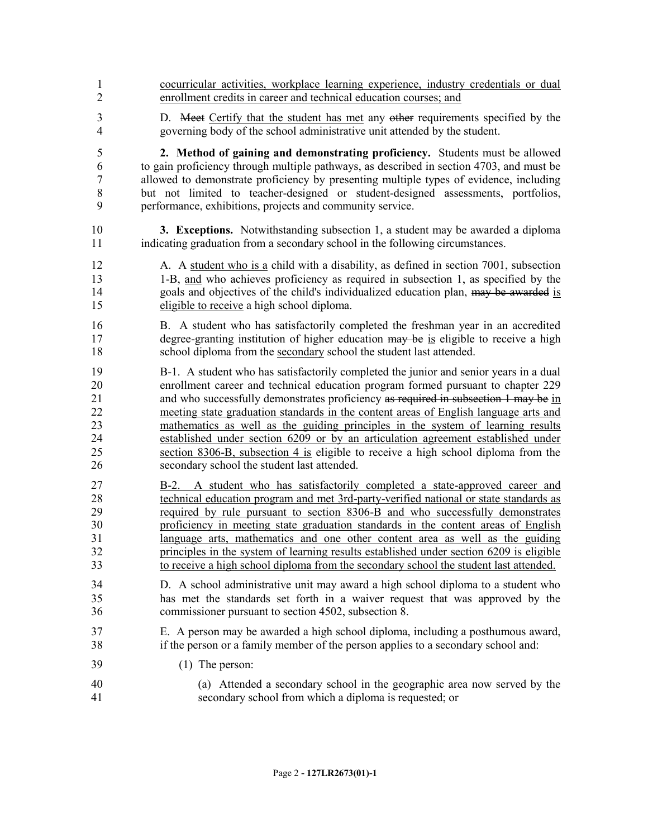cocurricular activities, workplace learning experience, industry credentials or dual enrollment credits in career and technical education courses; and D. Meet Certify that the student has met any other requirements specified by the governing body of the school administrative unit attended by the student. **2. Method of gaining and demonstrating proficiency.** Students must be allowed to gain proficiency through multiple pathways, as described in section 4703, and must be allowed to demonstrate proficiency by presenting multiple types of evidence, including but not limited to teacher-designed or student-designed assessments, portfolios, performance, exhibitions, projects and community service. **3. Exceptions.** Notwithstanding subsection 1, a student may be awarded a diploma indicating graduation from a secondary school in the following circumstances. A. A student who is a child with a disability, as defined in section 7001, subsection 1-B, and who achieves proficiency as required in subsection 1, as specified by the 14 goals and objectives of the child's individualized education plan,  $\frac{m}{m}$  be awarded is eligible to receive a high school diploma. B. A student who has satisfactorily completed the freshman year in an accredited 17 degree-granting institution of higher education may be is eligible to receive a high school diploma from the secondary school the student last attended. B-1. A student who has satisfactorily completed the junior and senior years in a dual enrollment career and technical education program formed pursuant to chapter 229 21 and who successfully demonstrates proficiency as required in subsection 1 may be in meeting state graduation standards in the content areas of English language arts and mathematics as well as the guiding principles in the system of learning results established under section 6209 or by an articulation agreement established under section 8306-B, subsection 4 is eligible to receive a high school diploma from the secondary school the student last attended. B-2. A student who has satisfactorily completed a state-approved career and technical education program and met 3rd-party-verified national or state standards as required by rule pursuant to section 8306-B and who successfully demonstrates proficiency in meeting state graduation standards in the content areas of English language arts, mathematics and one other content area as well as the guiding principles in the system of learning results established under section 6209 is eligible to receive a high school diploma from the secondary school the student last attended. D. A school administrative unit may award a high school diploma to a student who has met the standards set forth in a waiver request that was approved by the commissioner pursuant to section 4502, subsection 8. E. A person may be awarded a high school diploma, including a posthumous award, if the person or a family member of the person applies to a secondary school and: (1) The person: (a) Attended a secondary school in the geographic area now served by the secondary school from which a diploma is requested; or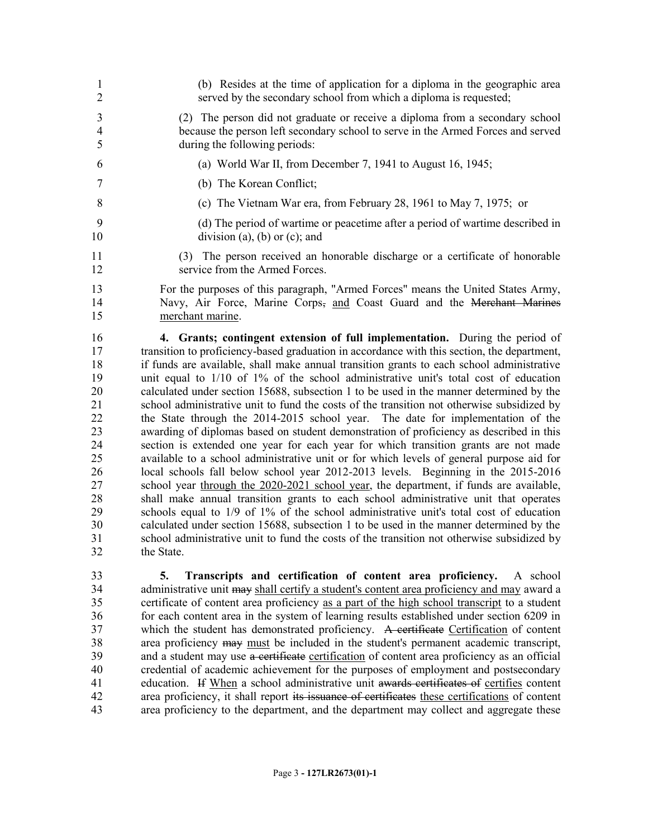| 1<br>$\overline{2}$ | (b) Resides at the time of application for a diploma in the geographic area<br>served by the secondary school from which a diploma is requested;                                |
|---------------------|---------------------------------------------------------------------------------------------------------------------------------------------------------------------------------|
| 3                   | (2) The person did not graduate or receive a diploma from a secondary school                                                                                                    |
| $\overline{4}$<br>5 | because the person left secondary school to serve in the Armed Forces and served<br>during the following periods:                                                               |
| 6                   | (a) World War II, from December 7, 1941 to August 16, 1945;                                                                                                                     |
| 7                   | (b) The Korean Conflict;                                                                                                                                                        |
| 8                   | (c) The Vietnam War era, from February 28, 1961 to May 7, 1975; or                                                                                                              |
| 9<br>10             | (d) The period of wartime or peacetime after a period of wartime described in<br>division (a), (b) or (c); and                                                                  |
| 11<br>12            | (3) The person received an honorable discharge or a certificate of honorable<br>service from the Armed Forces.                                                                  |
| 13                  | For the purposes of this paragraph, "Armed Forces" means the United States Army,                                                                                                |
| 14                  | Navy, Air Force, Marine Corps- and Coast Guard and the Merchant Marines                                                                                                         |
| 15                  | merchant marine.                                                                                                                                                                |
| 16                  | 4. Grants; contingent extension of full implementation. During the period of                                                                                                    |
| 17                  | transition to proficiency-based graduation in accordance with this section, the department,                                                                                     |
| 18                  | if funds are available, shall make annual transition grants to each school administrative                                                                                       |
| 19                  | unit equal to $1/10$ of $1\%$ of the school administrative unit's total cost of education                                                                                       |
| 20                  | calculated under section 15688, subsection 1 to be used in the manner determined by the                                                                                         |
| 21                  | school administrative unit to fund the costs of the transition not otherwise subsidized by                                                                                      |
| 22                  | the State through the 2014-2015 school year. The date for implementation of the                                                                                                 |
| 23                  | awarding of diplomas based on student demonstration of proficiency as described in this                                                                                         |
| 24<br>25            | section is extended one year for each year for which transition grants are not made<br>available to a school administrative unit or for which levels of general purpose aid for |
| 26                  | local schools fall below school year 2012-2013 levels. Beginning in the 2015-2016                                                                                               |
| 27                  | school year through the 2020-2021 school year, the department, if funds are available,                                                                                          |
| 28                  | shall make annual transition grants to each school administrative unit that operates                                                                                            |
| 29                  | schools equal to 1/9 of 1% of the school administrative unit's total cost of education                                                                                          |
| 30                  | calculated under section 15688, subsection 1 to be used in the manner determined by the                                                                                         |
| 31                  | school administrative unit to fund the costs of the transition not otherwise subsidized by                                                                                      |
| 32                  | the State.                                                                                                                                                                      |
| 33                  | 5.<br>Transcripts and certification of content area proficiency.<br>A school                                                                                                    |
| 34                  | administrative unit may shall certify a student's content area proficiency and may award a                                                                                      |
| 35                  | certificate of content area proficiency as a part of the high school transcript to a student                                                                                    |

34 administrative unit may shall certify a student's content area proficiency and may award a 35 certificate of content area proficiency as a part of the high school transcript to a student 36 for each content area in the system of learning results established under section 6209 in 37 which the student has demonstrated proficiency. A certificate Certification of content area proficiency may must be included in the student's permanent academic transcript, 39 and a student may use a certificate certification of content area proficiency as an official credential of academic achievement for the purposes of employment and postsecondary 41 education. If When a school administrative unit awards certificates of certifies content area proficiency, it shall report its issuance of certificates these certifications of content area proficiency to the department, and the department may collect and aggregate these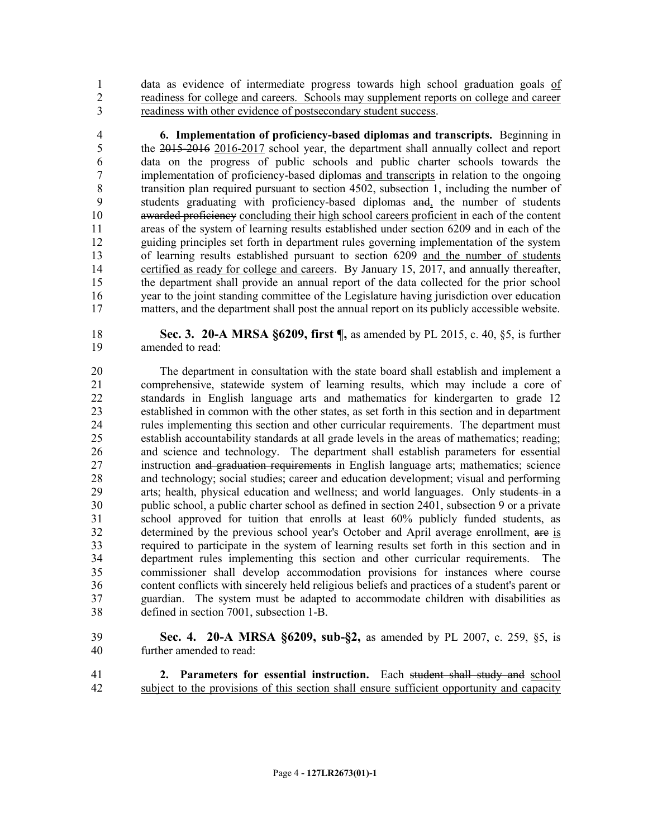data as evidence of intermediate progress towards high school graduation goals of readiness for college and careers. Schools may supplement reports on college and career readiness with other evidence of postsecondary student success.

 **6. Implementation of proficiency-based diplomas and transcripts.** Beginning in the 2015-2016 2016-2017 school year, the department shall annually collect and report data on the progress of public schools and public charter schools towards the implementation of proficiency-based diplomas and transcripts in relation to the ongoing transition plan required pursuant to section 4502, subsection 1, including the number of students graduating with proficiency-based diplomas and, the number of students 10 awarded proficiency concluding their high school careers proficient in each of the content areas of the system of learning results established under section 6209 and in each of the guiding principles set forth in department rules governing implementation of the system of learning results established pursuant to section 6209 and the number of students 14 certified as ready for college and careers. By January 15, 2017, and annually thereafter, the department shall provide an annual report of the data collected for the prior school year to the joint standing committee of the Legislature having jurisdiction over education matters, and the department shall post the annual report on its publicly accessible website.

 **Sec. 3. 20-A MRSA §6209, first ¶,** as amended by PL 2015, c. 40, §5, is further amended to read:

 The department in consultation with the state board shall establish and implement a comprehensive, statewide system of learning results, which may include a core of standards in English language arts and mathematics for kindergarten to grade 12 established in common with the other states, as set forth in this section and in department rules implementing this section and other curricular requirements. The department must establish accountability standards at all grade levels in the areas of mathematics; reading; and science and technology. The department shall establish parameters for essential 27 instruction and graduation requirements in English language arts; mathematics; science and technology; social studies; career and education development; visual and performing 29 arts; health, physical education and wellness; and world languages. Only students in a public school, a public charter school as defined in section 2401, subsection 9 or a private school approved for tuition that enrolls at least 60% publicly funded students, as determined by the previous school year's October and April average enrollment, are is required to participate in the system of learning results set forth in this section and in department rules implementing this section and other curricular requirements. The commissioner shall develop accommodation provisions for instances where course content conflicts with sincerely held religious beliefs and practices of a student's parent or guardian. The system must be adapted to accommodate children with disabilities as defined in section 7001, subsection 1-B.

- **Sec. 4. 20-A MRSA §6209, sub-§2,** as amended by PL 2007, c. 259, §5, is further amended to read:
- **2. Parameters for essential instruction.** Each student shall study and school subject to the provisions of this section shall ensure sufficient opportunity and capacity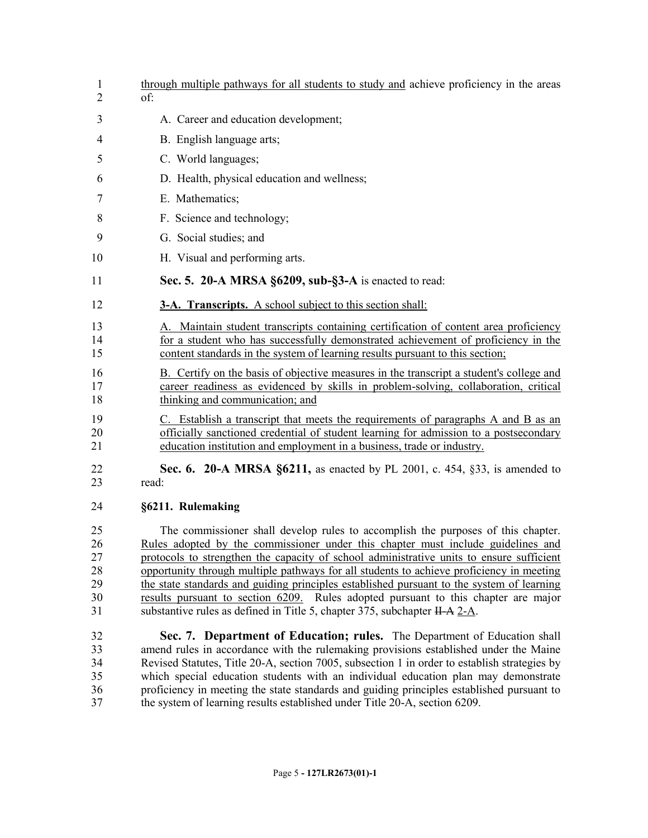| $\overline{2}$<br>of:<br>3<br>A. Career and education development;<br>B. English language arts;<br>4<br>C. World languages;<br>5<br>D. Health, physical education and wellness;<br>6<br>E. Mathematics;<br>7<br>F. Science and technology;<br>8<br>G. Social studies; and<br>9<br>10<br>H. Visual and performing arts.<br>Sec. 5. 20-A MRSA §6209, sub-§3-A is enacted to read:<br>11<br>12<br><b>3-A. Transcripts.</b> A school subject to this section shall:<br>A. Maintain student transcripts containing certification of content area proficiency<br>13<br>for a student who has successfully demonstrated achievement of proficiency in the<br>14<br>content standards in the system of learning results pursuant to this section;<br>15<br>16<br>B. Certify on the basis of objective measures in the transcript a student's college and<br>career readiness as evidenced by skills in problem-solving, collaboration, critical<br>17<br>thinking and communication; and<br>18<br>19<br>C. Establish a transcript that meets the requirements of paragraphs A and B as an<br>officially sanctioned credential of student learning for admission to a postsecondary<br>20<br>21<br>education institution and employment in a business, trade or industry.<br><b>Sec. 6. 20-A MRSA §6211, as enacted by PL 2001, c. 454, §33, is amended to</b><br>22<br>23<br>read:<br>§6211. Rulemaking<br>24 |
|-------------------------------------------------------------------------------------------------------------------------------------------------------------------------------------------------------------------------------------------------------------------------------------------------------------------------------------------------------------------------------------------------------------------------------------------------------------------------------------------------------------------------------------------------------------------------------------------------------------------------------------------------------------------------------------------------------------------------------------------------------------------------------------------------------------------------------------------------------------------------------------------------------------------------------------------------------------------------------------------------------------------------------------------------------------------------------------------------------------------------------------------------------------------------------------------------------------------------------------------------------------------------------------------------------------------------------------------------------------------------------------------------------|
|                                                                                                                                                                                                                                                                                                                                                                                                                                                                                                                                                                                                                                                                                                                                                                                                                                                                                                                                                                                                                                                                                                                                                                                                                                                                                                                                                                                                       |
|                                                                                                                                                                                                                                                                                                                                                                                                                                                                                                                                                                                                                                                                                                                                                                                                                                                                                                                                                                                                                                                                                                                                                                                                                                                                                                                                                                                                       |
|                                                                                                                                                                                                                                                                                                                                                                                                                                                                                                                                                                                                                                                                                                                                                                                                                                                                                                                                                                                                                                                                                                                                                                                                                                                                                                                                                                                                       |
|                                                                                                                                                                                                                                                                                                                                                                                                                                                                                                                                                                                                                                                                                                                                                                                                                                                                                                                                                                                                                                                                                                                                                                                                                                                                                                                                                                                                       |
|                                                                                                                                                                                                                                                                                                                                                                                                                                                                                                                                                                                                                                                                                                                                                                                                                                                                                                                                                                                                                                                                                                                                                                                                                                                                                                                                                                                                       |
|                                                                                                                                                                                                                                                                                                                                                                                                                                                                                                                                                                                                                                                                                                                                                                                                                                                                                                                                                                                                                                                                                                                                                                                                                                                                                                                                                                                                       |
|                                                                                                                                                                                                                                                                                                                                                                                                                                                                                                                                                                                                                                                                                                                                                                                                                                                                                                                                                                                                                                                                                                                                                                                                                                                                                                                                                                                                       |
|                                                                                                                                                                                                                                                                                                                                                                                                                                                                                                                                                                                                                                                                                                                                                                                                                                                                                                                                                                                                                                                                                                                                                                                                                                                                                                                                                                                                       |
|                                                                                                                                                                                                                                                                                                                                                                                                                                                                                                                                                                                                                                                                                                                                                                                                                                                                                                                                                                                                                                                                                                                                                                                                                                                                                                                                                                                                       |
|                                                                                                                                                                                                                                                                                                                                                                                                                                                                                                                                                                                                                                                                                                                                                                                                                                                                                                                                                                                                                                                                                                                                                                                                                                                                                                                                                                                                       |
|                                                                                                                                                                                                                                                                                                                                                                                                                                                                                                                                                                                                                                                                                                                                                                                                                                                                                                                                                                                                                                                                                                                                                                                                                                                                                                                                                                                                       |
|                                                                                                                                                                                                                                                                                                                                                                                                                                                                                                                                                                                                                                                                                                                                                                                                                                                                                                                                                                                                                                                                                                                                                                                                                                                                                                                                                                                                       |
|                                                                                                                                                                                                                                                                                                                                                                                                                                                                                                                                                                                                                                                                                                                                                                                                                                                                                                                                                                                                                                                                                                                                                                                                                                                                                                                                                                                                       |
|                                                                                                                                                                                                                                                                                                                                                                                                                                                                                                                                                                                                                                                                                                                                                                                                                                                                                                                                                                                                                                                                                                                                                                                                                                                                                                                                                                                                       |
|                                                                                                                                                                                                                                                                                                                                                                                                                                                                                                                                                                                                                                                                                                                                                                                                                                                                                                                                                                                                                                                                                                                                                                                                                                                                                                                                                                                                       |
|                                                                                                                                                                                                                                                                                                                                                                                                                                                                                                                                                                                                                                                                                                                                                                                                                                                                                                                                                                                                                                                                                                                                                                                                                                                                                                                                                                                                       |
|                                                                                                                                                                                                                                                                                                                                                                                                                                                                                                                                                                                                                                                                                                                                                                                                                                                                                                                                                                                                                                                                                                                                                                                                                                                                                                                                                                                                       |
|                                                                                                                                                                                                                                                                                                                                                                                                                                                                                                                                                                                                                                                                                                                                                                                                                                                                                                                                                                                                                                                                                                                                                                                                                                                                                                                                                                                                       |
|                                                                                                                                                                                                                                                                                                                                                                                                                                                                                                                                                                                                                                                                                                                                                                                                                                                                                                                                                                                                                                                                                                                                                                                                                                                                                                                                                                                                       |
|                                                                                                                                                                                                                                                                                                                                                                                                                                                                                                                                                                                                                                                                                                                                                                                                                                                                                                                                                                                                                                                                                                                                                                                                                                                                                                                                                                                                       |
|                                                                                                                                                                                                                                                                                                                                                                                                                                                                                                                                                                                                                                                                                                                                                                                                                                                                                                                                                                                                                                                                                                                                                                                                                                                                                                                                                                                                       |
|                                                                                                                                                                                                                                                                                                                                                                                                                                                                                                                                                                                                                                                                                                                                                                                                                                                                                                                                                                                                                                                                                                                                                                                                                                                                                                                                                                                                       |
| 25<br>The commissioner shall develop rules to accomplish the purposes of this chapter.                                                                                                                                                                                                                                                                                                                                                                                                                                                                                                                                                                                                                                                                                                                                                                                                                                                                                                                                                                                                                                                                                                                                                                                                                                                                                                                |
| Rules adopted by the commissioner under this chapter must include guidelines and<br>26                                                                                                                                                                                                                                                                                                                                                                                                                                                                                                                                                                                                                                                                                                                                                                                                                                                                                                                                                                                                                                                                                                                                                                                                                                                                                                                |
| 27<br>protocols to strengthen the capacity of school administrative units to ensure sufficient                                                                                                                                                                                                                                                                                                                                                                                                                                                                                                                                                                                                                                                                                                                                                                                                                                                                                                                                                                                                                                                                                                                                                                                                                                                                                                        |
| 28<br>opportunity through multiple pathways for all students to achieve proficiency in meeting<br>29<br>the state standards and guiding principles established pursuant to the system of learning                                                                                                                                                                                                                                                                                                                                                                                                                                                                                                                                                                                                                                                                                                                                                                                                                                                                                                                                                                                                                                                                                                                                                                                                     |
| 30<br>results pursuant to section 6209. Rules adopted pursuant to this chapter are major                                                                                                                                                                                                                                                                                                                                                                                                                                                                                                                                                                                                                                                                                                                                                                                                                                                                                                                                                                                                                                                                                                                                                                                                                                                                                                              |
| 31<br>substantive rules as defined in Title 5, chapter 375, subchapter $H-A$ $2-A$ .                                                                                                                                                                                                                                                                                                                                                                                                                                                                                                                                                                                                                                                                                                                                                                                                                                                                                                                                                                                                                                                                                                                                                                                                                                                                                                                  |
| 32<br>Sec. 7. Department of Education; rules. The Department of Education shall                                                                                                                                                                                                                                                                                                                                                                                                                                                                                                                                                                                                                                                                                                                                                                                                                                                                                                                                                                                                                                                                                                                                                                                                                                                                                                                       |
| 33<br>amend rules in accordance with the rulemaking provisions established under the Maine                                                                                                                                                                                                                                                                                                                                                                                                                                                                                                                                                                                                                                                                                                                                                                                                                                                                                                                                                                                                                                                                                                                                                                                                                                                                                                            |
| 34<br>Revised Statutes, Title 20-A, section 7005, subsection 1 in order to establish strategies by                                                                                                                                                                                                                                                                                                                                                                                                                                                                                                                                                                                                                                                                                                                                                                                                                                                                                                                                                                                                                                                                                                                                                                                                                                                                                                    |
| 35<br>which special education students with an individual education plan may demonstrate                                                                                                                                                                                                                                                                                                                                                                                                                                                                                                                                                                                                                                                                                                                                                                                                                                                                                                                                                                                                                                                                                                                                                                                                                                                                                                              |
| proficiency in meeting the state standards and guiding principles established pursuant to<br>36<br>37<br>the system of learning results established under Title 20-A, section 6209.                                                                                                                                                                                                                                                                                                                                                                                                                                                                                                                                                                                                                                                                                                                                                                                                                                                                                                                                                                                                                                                                                                                                                                                                                   |